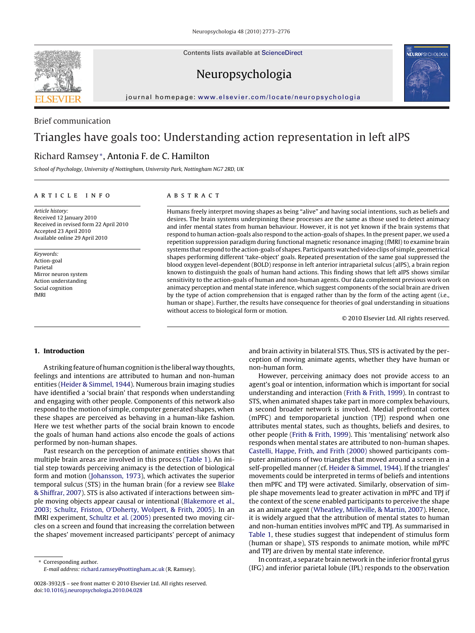Contents lists available at [ScienceDirect](http://www.sciencedirect.com/science/journal/00283932)







#### journal homepage: [www.elsevier.com/locate/neuropsychologia](http://www.elsevier.com/locate/neuropsychologia)

### Brief communication

# Triangles have goals too: Understanding action representation in left aIPS

## Richard Ramsey∗, Antonia F. de C. Hamilton

School of Psychology, University of Nottingham, University Park, Nottingham NG7 2RD, UK

### article info

Article history: Received 12 January 2010 Received in revised form 22 April 2010 Accepted 23 April 2010 Available online 29 April 2010

Keywords: Action-goal Parietal Mirror neuron system Action understanding Social cognition fMRI

### ABSTRACT

Humans freely interpret moving shapes as being "alive" and having social intentions, such as beliefs and desires. The brain systems underpinning these processes are the same as those used to detect animacy and infer mental states from human behaviour. However, it is not yet known if the brain systems that respond to human action-goals also respond to the action-goals of shapes. In the present paper, we used a repetition suppression paradigm during functional magnetic resonance imaging (fMRI) to examine brain systems that respond to the action-goals of shapes. Participants watched video clips of simple, geometrical shapes performing different 'take-object' goals. Repeated presentation of the same goal suppressed the blood oxygen level-dependent (BOLD) response in left anterior intraparietal sulcus (aIPS), a brain region known to distinguish the goals of human hand actions. This finding shows that left aIPS shows similar sensitivity to the action-goals of human and non-human agents. Our data complement previous work on animacy perception and mental state inference, which suggest components of the social brain are driven by the type of action comprehension that is engaged rather than by the form of the acting agent (i.e., human or shape). Further, the results have consequence for theories of goal understanding in situations without access to biological form or motion.

© 2010 Elsevier Ltd. All rights reserved.

### **1. Introduction**

A striking feature of human cognition is the liberal way thoughts, feelings and intentions are attributed to human and non-human entities [\(Heider & Simmel, 1944\).](#page-3-0) Numerous brain imaging studies have identified a 'social brain' that responds when understanding and engaging with other people. Components of this network also respond to the motion of simple, computer generated shapes, when these shapes are perceived as behaving in a human-like fashion. Here we test whether parts of the social brain known to encode the goals of human hand actions also encode the goals of actions performed by non-human shapes.

Past research on the perception of animate entities shows that multiple brain areas are involved in this process ([Table 1\).](#page-1-0) An initial step towards perceiving animacy is the detection of biological form and motion [\(Johansson, 1973\),](#page-3-0) which activates the superior temporal sulcus (STS) in the human brain (for a review see [Blake](#page-3-0) [& Shiffrar, 2007\).](#page-3-0) STS is also activated if interactions between simple moving objects appear causal or intentional ([Blakemore et al.,](#page-3-0) [2003; Schultz, Friston, O'Doherty, Wolpert, & Frith, 2005\).](#page-3-0) In an fMRI experiment, [Schultz et al. \(2005\)](#page-3-0) presented two moving circles on a screen and found that increasing the correlation between the shapes' movement increased participants' percept of animacy

Corresponding author. E-mail address: [richard.ramsey@nottingham.ac.uk](mailto:richard.ramsey@nottingham.ac.uk) (R. Ramsey). and brain activity in bilateral STS. Thus, STS is activated by the perception of moving animate agents, whether they have human or non-human form.

However, perceiving animacy does not provide access to an agent's goal or intention, information which is important for social understanding and interaction [\(Frith & Frith, 1999\).](#page-3-0) In contrast to STS, when animated shapes take part in more complex behaviours, a second broader network is involved. Medial prefrontal cortex (mPFC) and temporoparietal junction (TPJ) respond when one attributes mental states, such as thoughts, beliefs and desires, to other people [\(Frith & Frith, 1999\).](#page-3-0) This 'mentalising' network also responds when mental states are attributed to non-human shapes. [Castelli, Happe, Frith, and Frith \(2000\)](#page-3-0) showed participants computer animations of two triangles that moved around a screen in a self-propelled manner (cf. [Heider & Simmel, 1944\).](#page-3-0) If the triangles' movements could be interpreted in terms of beliefs and intentions then mPFC and TPJ were activated. Similarly, observation of simple shape movements lead to greater activation in mPFC and TPJ if the context of the scene enabled participants to perceive the shape as an animate agent [\(Wheatley, Milleville, & Martin, 2007\).](#page-3-0) Hence, it is widely argued that the attribution of mental states to human and non-human entities involves mPFC and TPJ. As summarised in [Table 1, t](#page-1-0)hese studies suggest that independent of stimulus form (human or shape), STS responds to animate motion, while mPFC and TPJ are driven by mental state inference.

In contrast, a separate brain network in the inferior frontal gyrus (IFG) and inferior parietal lobule (IPL) responds to the observation

<sup>0028-3932/\$ –</sup> see front matter © 2010 Elsevier Ltd. All rights reserved. doi:[10.1016/j.neuropsychologia.2010.04.028](dx.doi.org/10.1016/j.neuropsychologia.2010.04.028)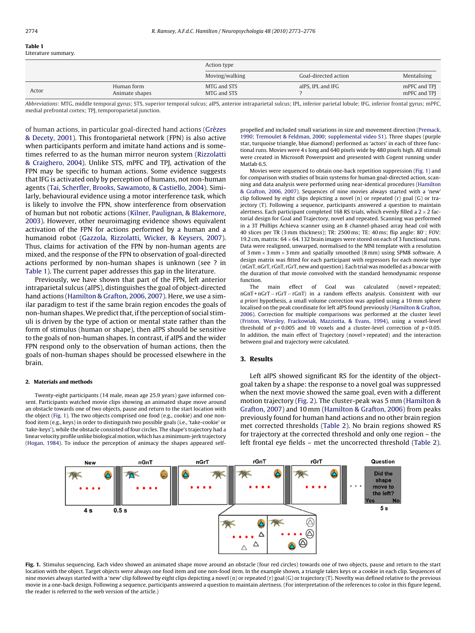# <span id="page-1-0"></span>**Table 1**

|  | Literature summary. |
|--|---------------------|
|--|---------------------|

|       |                              | Action type                |                      |                              |  |
|-------|------------------------------|----------------------------|----------------------|------------------------------|--|
|       |                              | Moving/walking             | Goal-directed action | Mentalising                  |  |
| Actor | Human form<br>Animate shapes | MTG and STS<br>MTG and STS | aIPS. IPL and IFG    | mPFC and TPJ<br>mPFC and TPJ |  |

Abbreviations: MTG, middle temporal gyrus; STS, superior temporal sulcus; aIPS, anterior intraparietal sulcus; IPL, inferior parietal lobule; IFG, inferior frontal gyrus; mPFC, medial prefrontal cortex; TPJ, temporoparietal junction.

of human actions, in particular goal-directed hand actions ([Grèzes](#page-3-0) [& Decety, 2001\).](#page-3-0) This frontoparietal network (FPN) is also active when participants perform and imitate hand actions and is sometimes referred to as the human mirror neuron system [\(Rizzolatti](#page-3-0) [& Craighero, 2004\).](#page-3-0) Unlike STS, mPFC and TPJ, activation of the FPN may be specific to human actions. Some evidence suggests that IFG is activated only by perception of humans, not non-human agents [\(Tai, Scherfler, Brooks, Sawamoto, & Castiello, 2004\).](#page-3-0) Similarly, behavioural evidence using a motor interference task, which is likely to involve the FPN, show interference from observation of human but not robotic actions [\(Kilner, Paulignan, & Blakemore,](#page-3-0) [2003\).](#page-3-0) However, other neuroimaging evidence shows equivalent activation of the FPN for actions performed by a human and a humanoid robot ([Gazzola, Rizzolatti, Wicker, & Keysers, 2007\).](#page-3-0) Thus, claims for activation of the FPN by non-human agents are mixed, and the response of the FPN to observation of goal-directed actions performed by non-human shapes is unknown (see ? in Table 1). The current paper addresses this gap in the literature.

Previously, we have shown that part of the FPN, left anterior intraparietal sulcus (aIPS), distinguishes the goal of object-directed hand actions ([Hamilton & Grafton, 2006, 2007\).](#page-3-0) Here, we use a similar paradigm to test if the same brain region encodes the goals of non-human shapes.We predict that, if the perception of social stimuli is driven by the type of action or mental state rather than the form of stimulus (human or shape), then aIPS should be sensitive to the goals of non-human shapes. In contrast, if aIPS and the wider FPN respond only to the observation of human actions, then the goals of non-human shapes should be processed elsewhere in the brain.

#### **2. Materials and methods**

Twenty-eight participants (14 male, mean age 25.9 years) gave informed consent. Participants watched movie clips showing an animated shape move around an obstacle towards one of two objects, pause and return to the start location with the object (Fig. 1). The two objects comprised one food (e.g., cookie) and one nonfood item (e.g., keys) in order to distinguish two possible goals (i.e., 'take-cookie' or 'take-keys'), while the obstacle consisted of four circles. The shape's trajectory had a linear velocity profile unlike biological motion, which has a minimum-jerk trajectory [\(Hogan, 1984\).](#page-3-0) To induce the perception of animacy the shapes appeared self-

propelled and included small variations in size and movement direction [\(Premack,](#page-3-0) [1990; Tremoulet & Feldman, 2000;](#page-3-0) [supplemental video S1\).](#page-3-0) Three shapes (purple star, turquoise triangle, blue diamond) performed as 'actors' in each of three functional runs. Movies were 4 s long and 640 pixels wide by 480 pixels high. All stimuli were created in Microsoft Powerpoint and presented with Cogent running under Matlab 6.5.

Movies were sequenced to obtain one-back repetition suppression (Fig. 1) and for comparison with studies of brain systems for human goal-directed action, scanning and data analysis were performed using near-identical procedures [\(Hamilton](#page-3-0) [& Grafton, 2006, 2007\).](#page-3-0) Sequences of nine movies always started with a 'new' clip followed by eight clips depicting a novel (n) or repeated (r) goal (G) or trajectory (T). Following a sequence, participants answered a question to maintain alertness. Each participant completed 168 RS trials, which evenly filled a  $2 \times 2$  factorial design for Goal and Trajectory, novel and repeated. Scanning was performed in a 3T Phillips Achieva scanner using an 8 channel-phased array head coil with 40 slices per TR  $(3 \text{ mm thickness})$ ; TR: 2500 ms; TE: 40 ms; flip angle:  $80^\circ$ ; FOV: 19.2 cm, matrix:  $64 \times 64$ . 132 brain images were stored on each of 3 functional runs. Data were realigned, unwarped, normalised to the MNI template with a resolution of  $3$  mm  $\times$   $3$  mm  $\times$   $3$  mm and spatially smoothed (8 mm) using SPM8 software. A design matrix was fitted for each participant with regressors for each movie type (nGnT, nGrT, rGnT, rGrT, new and question). Each trial was modelled as a boxcar with the duration of that movie convolved with the standard hemodynamic response function.<br>The

main effect of Goal was calculated (novel > repeated; nGnT + nGrT − rGrT − rGnT) in a random effects analysis. Consistent with our a priori hypothesis, a small volume correction was applied using a 10 mm sphere localised on the peak coordinate for left aIPS found previously ([Hamilton & Grafton,](#page-3-0) [2006\).](#page-3-0) Correction for multiple comparisons was performed at the cluster level ([Friston, Worsley, Frackowiak, Mazziotta, & Evans, 1994\),](#page-3-0) using a voxel-level threshold of  $p < 0.005$  and 10 voxels and a cluster-level correction of  $p < 0.05$ . In addition, the main effect of Trajectory (novel > repeated) and the interaction between goal and trajectory were calculated.

### **3. Results**

Left aIPS showed significant RS for the identity of the objectgoal taken by a shape: the response to a novel goal was suppressed when the next movie showed the same goal, even with a different motion trajectory [\(Fig. 2\).](#page-2-0) The cluster-peak was 5 mm [\(Hamilton &](#page-3-0) [Grafton, 2007\) a](#page-3-0)nd 10 mm ([Hamilton & Grafton, 2006\)](#page-3-0) from peaks previously found for human hand actions and no other brain region met corrected thresholds ([Table 2\).](#page-2-0) No brain regions showed RS for trajectory at the corrected threshold and only one region – the left frontal eye fields – met the uncorrected threshold ([Table 2\).](#page-2-0)



Fig. 1. Stimulus sequencing. Each video showed an animated shape move around an obstacle (four red circles) towards one of two objects, pause and return to the start location with the object. Target objects were always one food item and one non-food item. In the example shown, a triangle takes keys or a cookie in each clip. Sequences of nine movies always started with a 'new' clip followed by eight clips depicting a novel (n) or repeated (r) goal (G) or trajectory (T). Novelty was defined relative to the previous movie in a one-back design. Following a sequence, participants answered a question to maintain alertness. (For interpretation of the references to color in this figure legend, the reader is referred to the web version of the article.)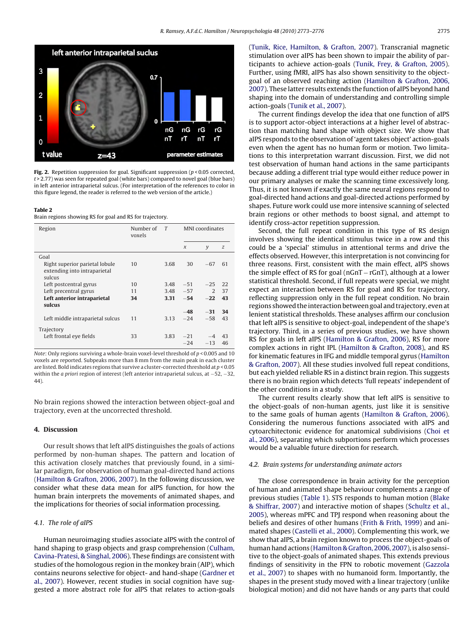<span id="page-2-0"></span>

Fig. 2. Repetition suppression for goal. Significant suppression (p < 0.05 corrected,  $t > 2.77$ ) was seen for repeated goal (white bars) compared to novel goal (blue bars) in left anterior intraparietal sulcus. (For interpretation of the references to color in this figure legend, the reader is referred to the web version of the article.)

#### **Table 2**

Brain regions showing RS for goal and RS for trajectory.

| Region                                                                   | Number of<br>voxels | T    | <b>MNI</b> coordinates |               |     |
|--------------------------------------------------------------------------|---------------------|------|------------------------|---------------|-----|
|                                                                          |                     |      | $\chi$                 | $\mathcal V$  | z   |
| Goal                                                                     |                     |      |                        |               |     |
| Right superior parietal lobule<br>extending into intraparietal<br>sulcus | 10                  | 3.68 | 30                     | $-67$         | 61  |
| Left postcentral gyrus                                                   | 10                  | 3.48 | $-51$                  | $-25$ 22      |     |
| Left precentral gyrus                                                    | 11                  | 3.48 | $-57$                  | $\mathcal{L}$ | 37  |
| Left anterior intraparietal                                              | 34                  | 3.31 | $-54$                  | $-22$         | 43  |
| sulcus                                                                   |                     |      |                        |               |     |
|                                                                          |                     |      | $-48$                  | $-31$         | -34 |
| Left middle intraparietal sulcus                                         | 11                  | 3.13 | $-24$                  | $-58$         | 43  |
| Trajectory                                                               |                     |      |                        |               |     |
| Left frontal eye fields                                                  | 33                  | 3.83 | $-21$                  | $-4$          | 43  |
|                                                                          |                     |      | $-24$                  | $-13$         | 46  |

Note: Only regions surviving a whole-brain voxel-level threshold of  $p < 0.005$  and 10 voxels are reported. Subpeaks more than 8 mm from the main peak in each cluster are listed. Bold indicates regions that survive a cluster-corrected threshold at p < 0.05 within the *a priori* region of interest (left anterior intraparietal sulcus, at −52, −32, 44).

No brain regions showed the interaction between object-goal and trajectory, even at the uncorrected threshold.

#### **4. Discussion**

Our result shows that left aIPS distinguishes the goals of actions performed by non-human shapes. The pattern and location of this activation closely matches that previously found, in a similar paradigm, for observation of human goal-directed hand actions ([Hamilton & Grafton, 2006, 2007\).](#page-3-0) In the following discussion, we consider what these data mean for aIPS function, for how the human brain interprets the movements of animated shapes, and the implications for theories of social information processing.

### 4.1. The role of aIPS

Human neuroimaging studies associate aIPS with the control of hand shaping to grasp objects and grasp comprehension ([Culham,](#page-3-0) [Cavina-Pratesi, & Singhal, 2006\).](#page-3-0) These findings are consistent with studies of the homologous region in the monkey brain (AIP), which contains neurons selective for object- and hand-shape ([Gardner et](#page-3-0) [al., 2007\).](#page-3-0) However, recent studies in social cognition have suggested a more abstract role for aIPS that relates to action-goals

[\(Tunik, Rice, Hamilton, & Grafton, 2007\).](#page-3-0) Transcranial magnetic stimulation over aIPS has been shown to impair the ability of participants to achieve action-goals [\(Tunik, Frey, & Grafton, 2005\).](#page-3-0) Further, using fMRI, aIPS has also shown sensitivity to the objectgoal of an observed reaching action ([Hamilton & Grafton, 2006,](#page-3-0) [2007\).](#page-3-0) These latter results extends the function of aIPS beyond hand shaping into the domain of understanding and controlling simple action-goals [\(Tunik et al., 2007\).](#page-3-0)

The current findings develop the idea that one function of aIPS is to support actor-object interactions at a higher level of abstraction than matching hand shape with object size. We show that aIPS responds to the observation of 'agent takes object' action-goals even when the agent has no human form or motion. Two limitations to this interpretation warrant discussion. First, we did not test observation of human hand actions in the same participants because adding a different trial type would either reduce power in our primary analyses or make the scanning time excessively long. Thus, it is not known if exactly the same neural regions respond to goal-directed hand actions and goal-directed actions performed by shapes. Future work could use more intensive scanning of selected brain regions or other methods to boost signal, and attempt to identify cross-actor repetition suppression.

Second, the full repeat condition in this type of RS design involves showing the identical stimulus twice in a row and this could be a 'special' stimulus in attentional terms and drive the effects observed. However, this interpretation is not convincing for three reasons. First, consistent with the main effect, aIPS shows the simple effect of RS for goal (nGnT − rGnT), although at a lower statistical threshold. Second, if full repeats were special, we might expect an interaction between RS for goal and RS for trajectory, reflecting suppression only in the full repeat condition. No brain regions showed the interaction between goal and trajectory, even at lenient statistical thresholds. These analyses affirm our conclusion that left aIPS is sensitive to object-goal, independent of the shape's trajectory. Third, in a series of previous studies, we have shown RS for goals in left aIPS ([Hamilton & Grafton, 2006\),](#page-3-0) RS for more complex actions in right IPL ([Hamilton & Grafton, 2008\),](#page-3-0) and RS for kinematic features in IFG and middle temporal gyrus ([Hamilton](#page-3-0) [& Grafton, 2007\).](#page-3-0) All these studies involved full repeat conditions, but each yielded reliable RS in a distinct brain region. This suggests there is no brain region which detects 'full repeats' independent of the other conditions in a study.

The current results clearly show that left aIPS is sensitive to the object-goals of non-human agents, just like it is sensitive to the same goals of human agents [\(Hamilton & Grafton, 2006\).](#page-3-0) Considering the numerous functions associated with aIPS and cytoarchitectonic evidence for anatomical subdivisions [\(Choi et](#page-3-0) [al., 2006\),](#page-3-0) separating which subportions perform which processes would be a valuable future direction for research.

#### 4.2. Brain systems for understanding animate actors

The close correspondence in brain activity for the perception of human and animated shape behaviour complements a range of previous studies ([Table 1\).](#page-1-0) STS responds to human motion [\(Blake](#page-3-0) [& Shiffrar, 2007\)](#page-3-0) and interactive motion of shapes [\(Schultz et al.,](#page-3-0) [2005\),](#page-3-0) whereas mPFC and TPJ respond when reasoning about the beliefs and desires of other humans [\(Frith & Frith, 1999\)](#page-3-0) and animated shapes ([Castelli et al., 2000\).](#page-3-0) Complementing this work, we show that aIPS, a brain region known to process the object-goals of human hand actions ([Hamilton & Grafton, 2006, 2007\),](#page-3-0) is also sensitive to the object-goals of animated shapes. This extends previous findings of sensitivity in the FPN to robotic movement ([Gazzola](#page-3-0) [et al., 2007\)](#page-3-0) to shapes with no humanoid form. Importantly, the shapes in the present study moved with a linear trajectory (unlike biological motion) and did not have hands or any parts that could